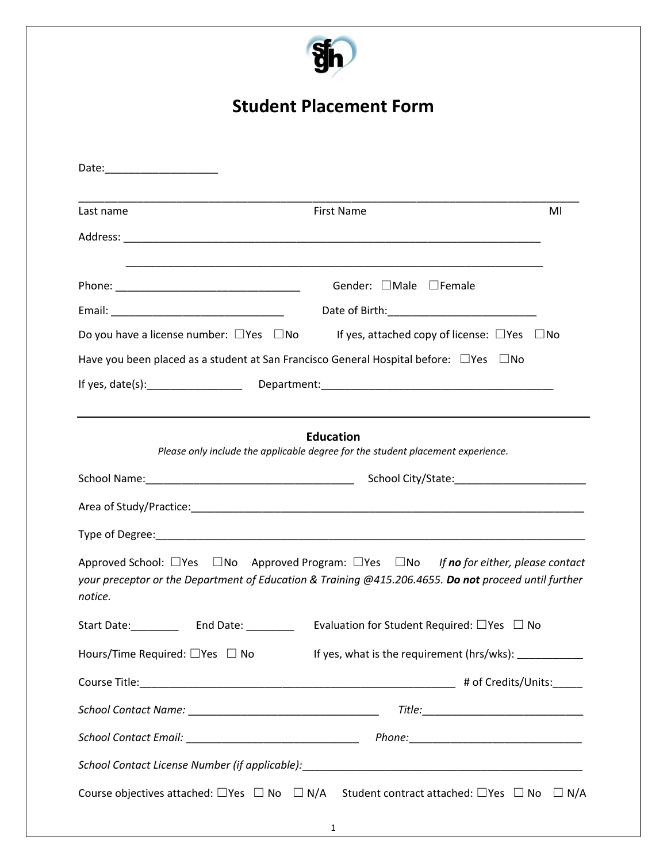

# **Student Placement Form**

| Last name                                                                                                                               | <b>First Name</b>                                                                                                                                                                                                     | MI |  |  |
|-----------------------------------------------------------------------------------------------------------------------------------------|-----------------------------------------------------------------------------------------------------------------------------------------------------------------------------------------------------------------------|----|--|--|
| Do you have a license number: $\Box$ Yes $\Box$ No<br>Have you been placed as a student at San Francisco General Hospital before: □ Yes | Gender: $\Box$ Male $\Box$ Female<br>If yes, attached copy of license: $\Box$ Yes $\Box$ No<br>$\Box$ No                                                                                                              |    |  |  |
| <b>Education</b><br>Please only include the applicable degree for the student placement experience.                                     |                                                                                                                                                                                                                       |    |  |  |
|                                                                                                                                         |                                                                                                                                                                                                                       |    |  |  |
|                                                                                                                                         |                                                                                                                                                                                                                       |    |  |  |
|                                                                                                                                         |                                                                                                                                                                                                                       |    |  |  |
| notice.                                                                                                                                 | Approved School: $\Box$ Yes $\Box$ No Approved Program: $\Box$ Yes $\Box$ No If no for either, please contact<br>your preceptor or the Department of Education & Training @415.206.4655. Do not proceed until further |    |  |  |
| Start Date: End Date: Evaluation for Student Required: $\square$ Yes $\square$ No                                                       |                                                                                                                                                                                                                       |    |  |  |
| Hours/Time Required: $\Box$ Yes $\Box$ No                                                                                               | If yes, what is the requirement (hrs/wks): ____________                                                                                                                                                               |    |  |  |
|                                                                                                                                         |                                                                                                                                                                                                                       |    |  |  |
|                                                                                                                                         |                                                                                                                                                                                                                       |    |  |  |
|                                                                                                                                         |                                                                                                                                                                                                                       |    |  |  |
|                                                                                                                                         |                                                                                                                                                                                                                       |    |  |  |
|                                                                                                                                         | Course objectives attached: $\Box$ Yes $\Box$ No $\Box$ N/A Student contract attached: $\Box$ Yes $\Box$ No $\Box$ N/A                                                                                                |    |  |  |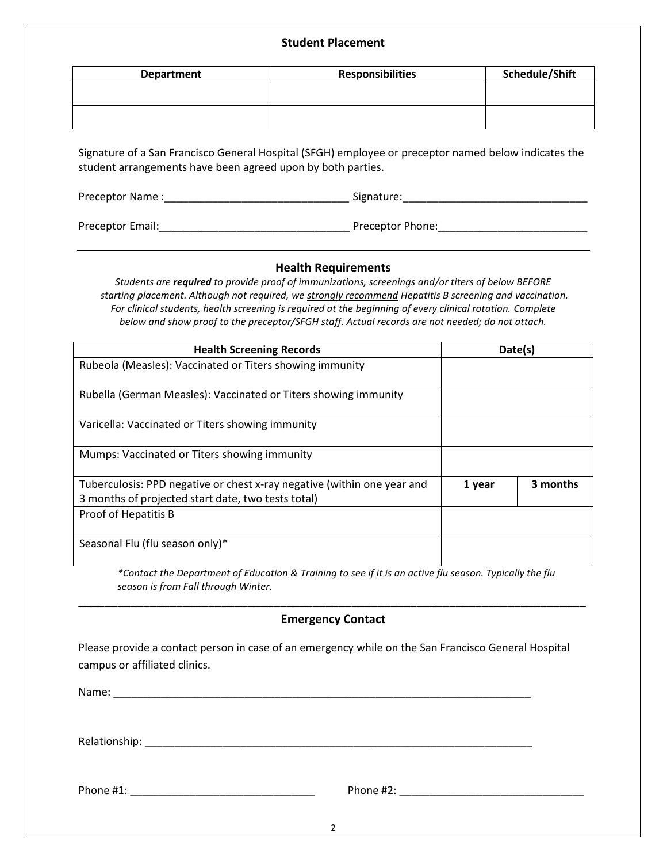#### **Student Placement**

| <b>Department</b> | <b>Responsibilities</b> | Schedule/Shift |
|-------------------|-------------------------|----------------|
|                   |                         |                |
|                   |                         |                |

Signature of a San Francisco General Hospital (SFGH) employee or preceptor named below indicates the student arrangements have been agreed upon by both parties.

Preceptor Name :\_\_\_\_\_\_\_\_\_\_\_\_\_\_\_\_\_\_\_\_\_\_\_\_\_\_\_\_\_\_\_ Signature:\_\_\_\_\_\_\_\_\_\_\_\_\_\_\_\_\_\_\_\_\_\_\_\_\_\_\_\_\_\_\_

Preceptor Email: The example of Preceptor Phone:

#### **Health Requirements**

*Students are required to provide proof of immunizations, screenings and/or titers of below BEFORE starting placement. Although not required, we strongly recommend Hepatitis B screening and vaccination. For clinical students, health screening is required at the beginning of every clinical rotation. Complete below and show proof to the preceptor/SFGH staff. Actual records are not needed; do not attach.*

| <b>Health Screening Records</b>                                         | Date(s) |          |
|-------------------------------------------------------------------------|---------|----------|
| Rubeola (Measles): Vaccinated or Titers showing immunity                |         |          |
| Rubella (German Measles): Vaccinated or Titers showing immunity         |         |          |
| Varicella: Vaccinated or Titers showing immunity                        |         |          |
| Mumps: Vaccinated or Titers showing immunity                            |         |          |
| Tuberculosis: PPD negative or chest x-ray negative (within one year and | 1 year  | 3 months |
| 3 months of projected start date, two tests total)                      |         |          |
| Proof of Hepatitis B                                                    |         |          |
| Seasonal Flu (flu season only)*                                         |         |          |

*\*Contact the Department of Education & Training to see if it is an active flu season. Typically the flu season is from Fall through Winter.*

## **\_\_\_\_\_\_\_\_\_\_\_\_\_\_\_\_\_\_\_\_\_\_\_\_\_\_\_\_\_\_\_\_\_\_\_\_\_\_\_\_\_\_\_\_\_\_\_\_\_\_\_\_\_\_\_\_\_\_\_\_\_\_\_\_\_\_\_\_\_\_\_\_\_\_\_\_\_\_ Emergency Contact**

Please provide a contact person in case of an emergency while on the San Francisco General Hospital campus or affiliated clinics.

Name: \_\_\_\_\_\_\_\_\_\_\_\_\_\_\_\_\_\_\_\_\_\_\_\_\_\_\_\_\_\_\_\_\_\_\_\_\_\_\_\_\_\_\_\_\_\_\_\_\_\_\_\_\_\_\_\_\_\_\_\_\_\_\_\_\_\_\_\_\_\_

Relationship: \_\_\_\_\_\_\_\_\_\_\_\_\_\_\_\_\_\_\_\_\_\_\_\_\_\_\_\_\_\_\_\_\_\_\_\_\_\_\_\_\_\_\_\_\_\_\_\_\_\_\_\_\_\_\_\_\_\_\_\_\_\_\_\_\_

Phone #1: \_\_\_\_\_\_\_\_\_\_\_\_\_\_\_\_\_\_\_\_\_\_\_\_\_\_\_\_\_\_\_ Phone #2: \_\_\_\_\_\_\_\_\_\_\_\_\_\_\_\_\_\_\_\_\_\_\_\_\_\_\_\_\_\_\_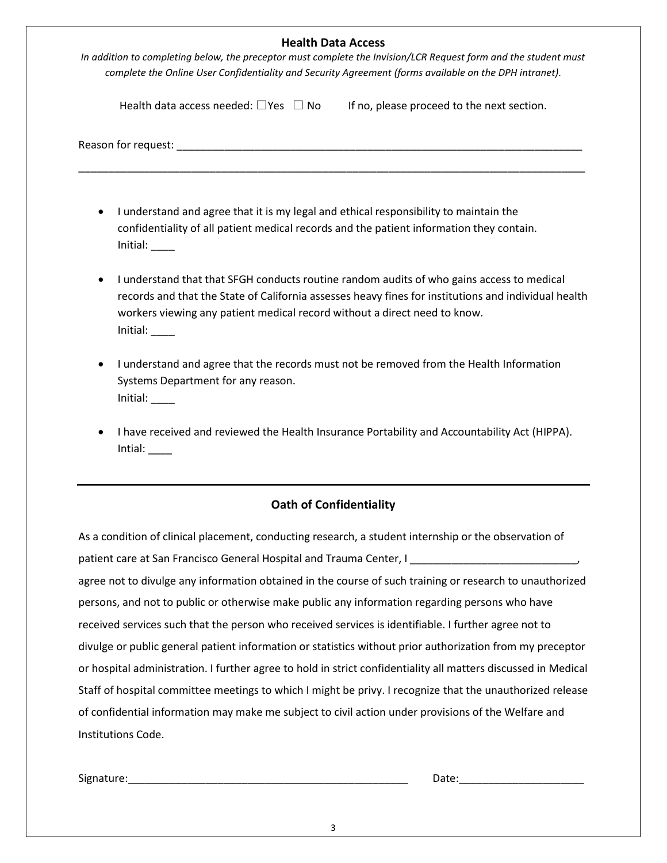#### **Health Data Access**

*In addition to completing below, the preceptor must complete the Invision/LCR Request form and the student must complete the Online User Confidentiality and Security Agreement (forms available on the DPH intranet).* 

\_\_\_\_\_\_\_\_\_\_\_\_\_\_\_\_\_\_\_\_\_\_\_\_\_\_\_\_\_\_\_\_\_\_\_\_\_\_\_\_\_\_\_\_\_\_\_\_\_\_\_\_\_\_\_\_\_\_\_\_\_\_\_\_\_\_\_\_\_\_\_\_\_\_\_\_\_\_\_\_\_\_\_\_\_

Health data access needed:  $\square$ Yes  $\square$  No If no, please proceed to the next section.

Reason for request:  $\blacksquare$ 

- I understand and agree that it is my legal and ethical responsibility to maintain the confidentiality of all patient medical records and the patient information they contain. Initial: \_\_\_\_
- I understand that that SFGH conducts routine random audits of who gains access to medical records and that the State of California assesses heavy fines for institutions and individual health workers viewing any patient medical record without a direct need to know. Initial: \_\_\_\_
- I understand and agree that the records must not be removed from the Health Information Systems Department for any reason. Initial: \_\_\_\_
- I have received and reviewed the Health Insurance Portability and Accountability Act (HIPPA). Intial: \_\_\_\_

## **Oath of Confidentiality**

As a condition of clinical placement, conducting research, a student internship or the observation of patient care at San Francisco General Hospital and Trauma Center, I \_\_\_\_\_\_\_\_\_\_\_\_\_\_\_\_\_\_\_\_\_\_\_\_\_\_\_\_, agree not to divulge any information obtained in the course of such training or research to unauthorized persons, and not to public or otherwise make public any information regarding persons who have received services such that the person who received services is identifiable. I further agree not to divulge or public general patient information or statistics without prior authorization from my preceptor or hospital administration. I further agree to hold in strict confidentiality all matters discussed in Medical Staff of hospital committee meetings to which I might be privy. I recognize that the unauthorized release of confidential information may make me subject to civil action under provisions of the Welfare and Institutions Code.

Signature:\_\_\_\_\_\_\_\_\_\_\_\_\_\_\_\_\_\_\_\_\_\_\_\_\_\_\_\_\_\_\_\_\_\_\_\_\_\_\_\_\_\_\_\_\_\_\_ Date:\_\_\_\_\_\_\_\_\_\_\_\_\_\_\_\_\_\_\_\_\_